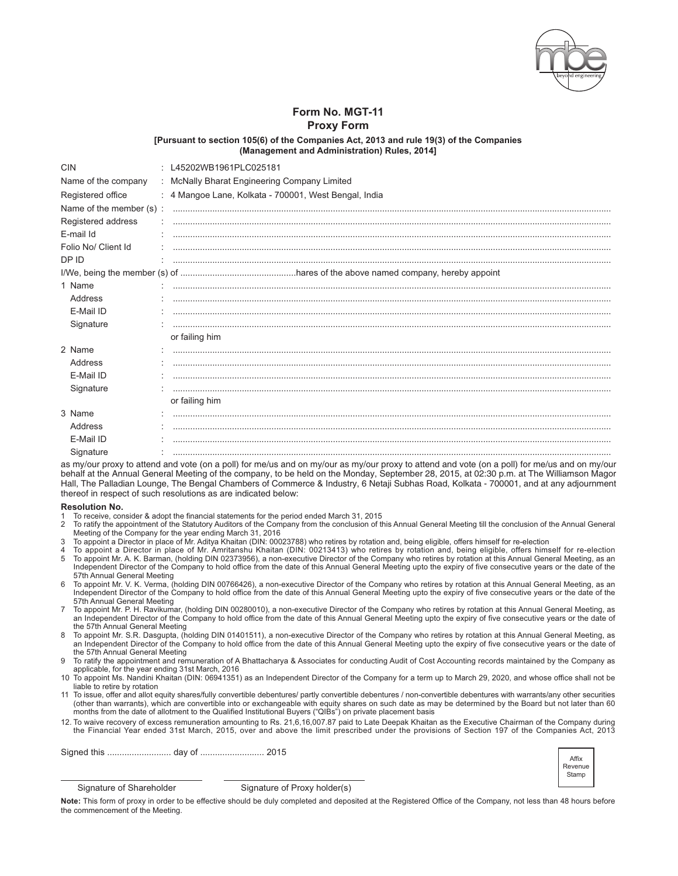

## Form No. MGT-11 **Proxy Form**

[Pursuant to section 105(6) of the Companies Act, 2013 and rule 19(3) of the Companies (Management and Administration) Rules, 2014]

| <b>CIN</b>              | : L45202WB1961PLC025181                               |  |  |  |
|-------------------------|-------------------------------------------------------|--|--|--|
| Name of the company     | : McNally Bharat Engineering Company Limited          |  |  |  |
| Registered office       | : 4 Mangoe Lane, Kolkata - 700001, West Bengal, India |  |  |  |
| Name of the member (s): |                                                       |  |  |  |
| Registered address      |                                                       |  |  |  |
| E-mail Id               |                                                       |  |  |  |
| Folio No/ Client Id     |                                                       |  |  |  |
| DP ID                   |                                                       |  |  |  |
|                         |                                                       |  |  |  |
| 1 Name                  |                                                       |  |  |  |
| Address                 |                                                       |  |  |  |
| E-Mail ID               |                                                       |  |  |  |
| Signature               |                                                       |  |  |  |
|                         | or failing him                                        |  |  |  |
| 2 Name                  |                                                       |  |  |  |
| Address                 |                                                       |  |  |  |
| E-Mail ID               |                                                       |  |  |  |
| Signature               |                                                       |  |  |  |
|                         | or failing him                                        |  |  |  |
| 3 Name                  |                                                       |  |  |  |
| Address                 |                                                       |  |  |  |
| E-Mail ID               |                                                       |  |  |  |
| Signature               |                                                       |  |  |  |

as my/our proxy to attend and vote (on a poll) for me/us and on my/our as my/our proxy to attend and vote (on a poll) for me/us and on my/our behalf at the Annual General Meeting of the company, to be held on the Monday, September 28, 2015, at 02:30 p.m. at The Williamson Magor Hall, The Palladian Lounge, The Bengal Chambers of Commerce & Industry, 6 Netaji Subhas Road, Kolkata - 700001, and at any adjournment thereof in respect of such resolutions as are indicated below:

## **Resolution No.**

- To receive, consider & adopt the financial statements for the period ended March 31, 2015
- $\overline{2}$ To ratify the appointment of the Statutory Auditors of the Company from the conclusion of this Annual General Meeting till the conclusion of the Annual General Meeting of the Company for the year ending March 31, 2016<br>To appoint a Director in place of Mr. Aditya Khaitan (DIN: 00023788) who retires by rotation and, being eligible, offers himself for re-election<br>To appoint a Direct
- २
- 
- To appoint Mr. A. K. Barman, (holding DIN 02373956), a non-executive Director of the Company who retires by rotation at this Annual General Meeting, as an Independent Director of the Company who retires by rotation at this 5 57th Annual General Meeting
- 6 To appoint Mr. V. K. Verma, (holding DIN 00766426), a non-executive Director of the Company who retires by rotation at this Annual General Meeting, as an Independent Director of the Company to hold office from the date of this Annual General Meeting upto the expiry of five consecutive years or the date of the 57th Annual General Meeting
- $\overline{7}$ To appoint Mr. P. H. Ravikumar, (holding DIN 00280010), a non-executive Director of the Company who retires by rotation at this Annual General Meeting, as an Independent Director of the Company to hold office from the date of this Annual General Meeting upto the expiry of five consecutive years or the date of the 57th Annual General Meeting
- To appoint Mr. S.R. Dasgupta, (holding DIN 01401511), a non-executive Director of the Company who retires by rotation at this Annual General Meeting, as<br>an Independent Director of the Company to hold office from the date o  $\mathsf{R}$ the 57th Annual General Meeting
- 9 To ratify the appointment and remuneration of A Bhattacharya & Associates for conducting Audit of Cost Accounting records maintained by the Company as applicable, for the year ending 31st March, 2016
- 10 To appoint Ms. Nandini Khaitan (DIN: 06941351) as an Independent Director of the Company for a term up to March 29, 2020, and whose office shall not be liable to retire by rotation
- To issue, offer and allot equity shares/fully convertible debentures/ partly convertible debentures / non-convertible debentures with warrants/any other securities (other than warrants), which are convertible into or exchangeable with equity shares on such date as may be determined by the Board but not later than 60 months from the date of allotment to the Qualified Institutional Buyers ("QIBs") on private placement basis
- 12. To waive recovery of excess remuneration amounting to Rs. 21,6,16,007.87 paid to Late Deepak Khaitan as the Executive Chairman of the Company during the Financial Year ended 31st March, 2015, over and above the limit prescribed under the provisions of Section 197 of the Companies Act, 2013

Signed this ............................ day of ............................ 2015



Signature of Shareholder

Signature of Proxy holder(s)

Note: This form of proxy in order to be effective should be duly completed and deposited at the Registered Office of the Company, not less than 48 hours before the commencement of the Meeting.